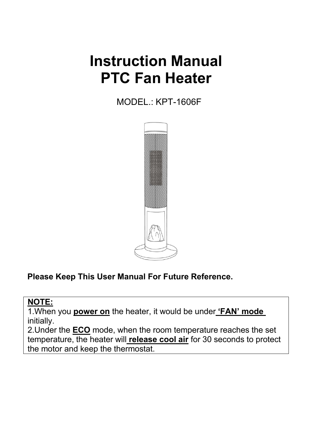# **Instruction Manual PTC Fan Heater**

MODEL.: KPT-1606F



**Please Keep This User Manual For Future Reference.**

#### **NOTE:**

1.When you **power on** the heater, it would be under **'FAN' mode** initially.

2.Under the **ECO** mode, when the room temperature reaches the set temperature, the heater will **release cool air** for 30 seconds to protect the motor and keep the thermostat.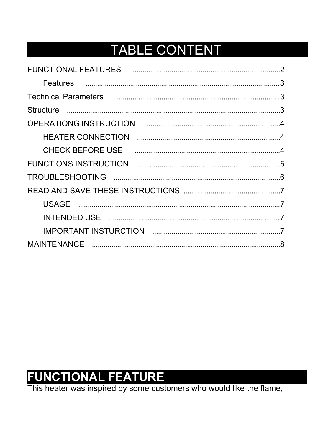## **TABLE CONTENT**

|                                                    | $\mathcal{P}$ |
|----------------------------------------------------|---------------|
|                                                    |               |
| Technical Parameters <b>communical contracts</b> 3 |               |
|                                                    |               |
|                                                    |               |
|                                                    |               |
|                                                    |               |
|                                                    |               |
|                                                    |               |
|                                                    |               |
|                                                    |               |
|                                                    |               |
|                                                    |               |
|                                                    |               |

<span id="page-1-0"></span>FUNCTIONAL FEATURE<br>This heater was inspired by some customers who would like the flame,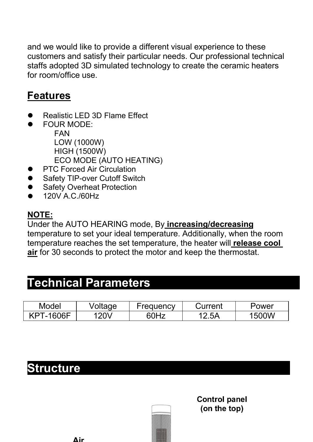<span id="page-2-0"></span>and we would like to provide a different visual experience to these customers and satisfy their particular needs. Our professional technical staffs adopted 3D simulated technology to create the ceramic heaters for room/office use.

#### **Features**

- Realistic LED 3D Flame Effect
- FOUR MODE: FAN LOW (1000W) HIGH (1500W) ECO MODE (AUTO HEATING)
- PTC Forced Air Circulation
- Safety TIP-over Cutoff Switch
- Safety Overheat Protection
- <span id="page-2-1"></span>120V A.C./60Hz

#### **NOTE:**

Under the AUTO HEARING mode, By **increasing/decreasing** temperature to set your ideal temperature. Additionally, when the room temperature reaches the set temperature, the heater will **release cool air** for 30 seconds to protect the motor and keep the thermostat.

### <span id="page-2-2"></span>**Technical Parameters**

| <b>Model</b>        | Voltage | ·reauencv | Current | Power        |
|---------------------|---------|-----------|---------|--------------|
| <b>VDT</b><br>1606F | 20V     |           | 2.5A    | VOC.<br>' 51 |

### **Structure**

**Control panel** (on the top)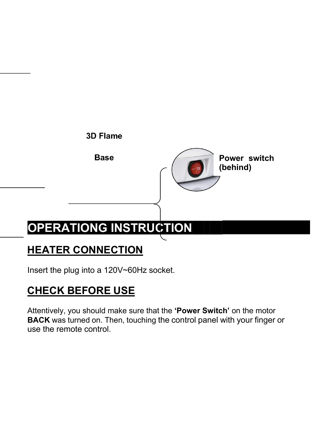<span id="page-3-1"></span><span id="page-3-0"></span>

## <span id="page-3-2"></span>**HEATER CONNECTION**

Insert the plug into a 120V~60Hz socket.

## **CHECK BEFORE USE**

Attentively, you should make sure that the **'Power Switch'** on the motor **BACK** was turned on. Then, touching the control panel with your finger or use the remote control.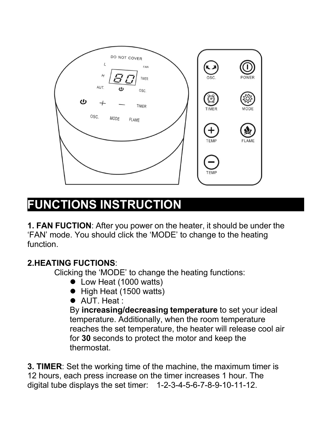

## <span id="page-4-0"></span>**FUNCTIONS INSTRUCTION**

**1. FAN FUCTION**: After you power on the heater, it should be under the 'FAN' mode. You should click the 'MODE' to change to the heating function.

#### **2.HEATING FUCTIONS**:

Clicking the 'MODE' to change the heating functions:

- Low Heat (1000 watts)
- High Heat (1500 watts)
- AUT. Heat :

By **increasing/decreasing temperature** to set your ideal temperature. Additionally, when the room temperature reaches the set temperature, the heater will release cool air for **30** seconds to protect the motor and keep the thermostat.

**3. TIMER**: Set the working time of the machine, the maximum timer is 12 hours, each press increase on the timer increases 1 hour. The digital tube displays the set timer: 1-2-3-4-5-6-7-8-9-10-11-12.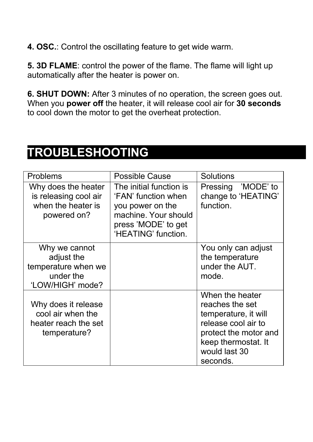**4. OSC.**: Control the oscillating feature to get wide warm.

**5. 3D FLAME:** control the power of the flame. The flame will light up automatically after the heater is power on.

<span id="page-5-0"></span>**6. SHUT DOWN:** After 3 minutes of no operation, the screen goes out. When you **power off** the heater, it will release cool air for **30 seconds** to cool down the motor to get the overheat protection.

## **TROUBLESHOOTING**

| <b>Problems</b>                                                                     | <b>Possible Cause</b>                                                                                                                    | <b>Solutions</b>                                                                                                                                               |
|-------------------------------------------------------------------------------------|------------------------------------------------------------------------------------------------------------------------------------------|----------------------------------------------------------------------------------------------------------------------------------------------------------------|
| Why does the heater<br>is releasing cool air<br>when the heater is<br>powered on?   | The initial function is<br>'FAN' function when<br>you power on the<br>machine. Your should<br>press 'MODE' to get<br>'HEATING' function. | Pressing 'MODE' to<br>change to 'HEATING'<br>function.                                                                                                         |
| Why we cannot<br>adjust the<br>temperature when we<br>under the<br>'LOW/HIGH' mode? |                                                                                                                                          | You only can adjust<br>the temperature<br>under the AUT.<br>mode.                                                                                              |
| Why does it release<br>cool air when the<br>heater reach the set<br>temperature?    |                                                                                                                                          | When the heater<br>reaches the set<br>temperature, it will<br>release cool air to<br>protect the motor and<br>keep thermostat. It<br>would last 30<br>seconds. |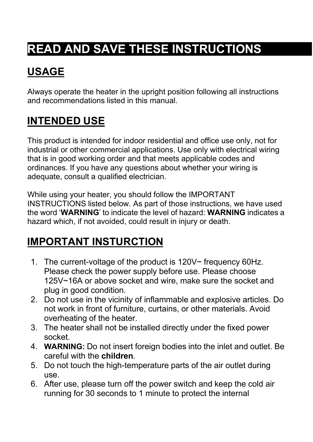# <span id="page-6-1"></span><span id="page-6-0"></span>**READ AND SAVE THESE INSTRUCTIONS**

## **USAGE**

<span id="page-6-2"></span>Always operate the heater in the upright position following all instructions and recommendations listed in this manual.

## **INTENDED USE**

This product is intended for indoor residential and office use only, not for industrial or other commercial applications. Use only with electrical wiring that is in good working order and that meets applicable codes and ordinances. If you have any questions about whether your wiring is adequate, consult a qualified electrician.

<span id="page-6-3"></span>While using your heater, you should follow the IMPORTANT INSTRUCTIONS listed below. As part of those instructions, we have used the word '**WARNING**' to indicate the level of hazard: **WARNING** indicates a hazard which, if not avoided, could result in injury or death.

## **IMPORTANT INSTURCTION**

- 1. The current-voltage of the product is 120V~ frequency 60Hz. Please check the power supply before use. Please choose 125V~16A or above socket and wire, make sure the socket and plug in good condition.
- 2. Do not use in the vicinity of inflammable and explosive articles.Do not work in front of furniture, curtains, or other materials. Avoid overheating of the heater.
- 3. The heater shall not be installed directly under the fixed power socket.
- 4. **WARNING:** Do not insert foreign bodies into the inlet and outlet. Be careful with the **children**.
- 5. Do not touch the high-temperature parts of the air outlet during use.
- 6. After use, please turn off the power switch and keep the cold air running for 30 seconds to 1 minute to protect the internal